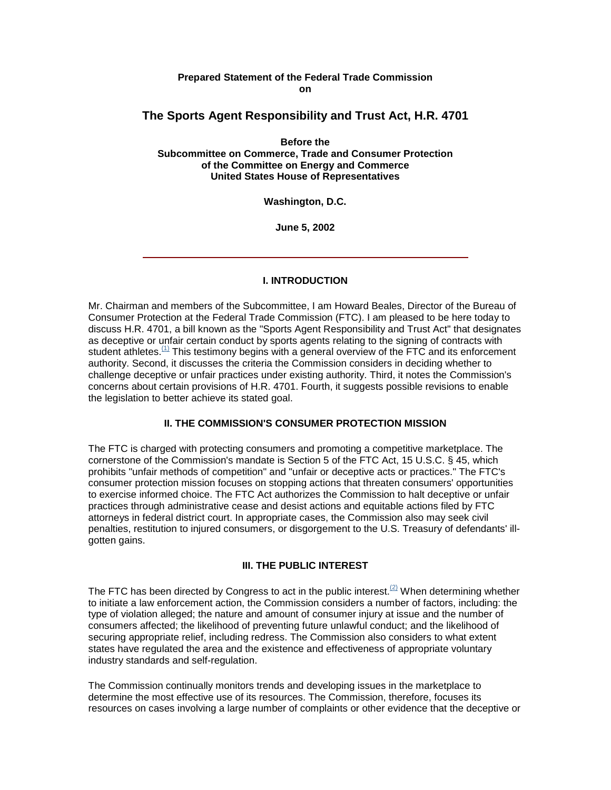#### **Prepared Statement of the Federal Trade Commission on**

# **The Sports Agent Responsibility and Trust Act, H.R. 4701**

**Before the Subcommittee on Commerce, Trade and Consumer Protection of the Committee on Energy and Commerce United States House of Representatives**

**Washington, D.C.**

**June 5, 2002**

## **I. INTRODUCTION**

Mr. Chairman and members of the Subcommittee, I am Howard Beales, Director of the Bureau of Consumer Protection at the Federal Trade Commission (FTC). I am pleased to be here today to discuss H.R. 4701, a bill known as the "Sports Agent Responsibility and Trust Act" that designates as deceptive or unfair certain conduct by sports agents relating to the signing of contracts with student athletes.<sup>(1)</sup> This testimony begins with a general overview of the FTC and its enforcement authority. Second, it discusses the criteria the Commission considers in deciding whether to challenge deceptive or unfair practices under existing authority. Third, it notes the Commission's concerns about certain provisions of H.R. 4701. Fourth, it suggests possible revisions to enable the legislation to better achieve its stated goal.

## **II. THE COMMISSION'S CONSUMER PROTECTION MISSION**

The FTC is charged with protecting consumers and promoting a competitive marketplace. The cornerstone of the Commission's mandate is Section 5 of the FTC Act, 15 U.S.C. § 45, which prohibits "unfair methods of competition" and "unfair or deceptive acts or practices." The FTC's consumer protection mission focuses on stopping actions that threaten consumers' opportunities to exercise informed choice. The FTC Act authorizes the Commission to halt deceptive or unfair practices through administrative cease and desist actions and equitable actions filed by FTC attorneys in federal district court. In appropriate cases, the Commission also may seek civil penalties, restitution to injured consumers, or disgorgement to the U.S. Treasury of defendants' illgotten gains.

#### **III. THE PUBLIC INTEREST**

The FTC has been directed by Congress to act in the public interest.<sup>(2)</sup> When determining whether to initiate a law enforcement action, the Commission considers a number of factors, including: the type of violation alleged; the nature and amount of consumer injury at issue and the number of consumers affected; the likelihood of preventing future unlawful conduct; and the likelihood of securing appropriate relief, including redress. The Commission also considers to what extent states have regulated the area and the existence and effectiveness of appropriate voluntary industry standards and self-regulation.

The Commission continually monitors trends and developing issues in the marketplace to determine the most effective use of its resources. The Commission, therefore, focuses its resources on cases involving a large number of complaints or other evidence that the deceptive or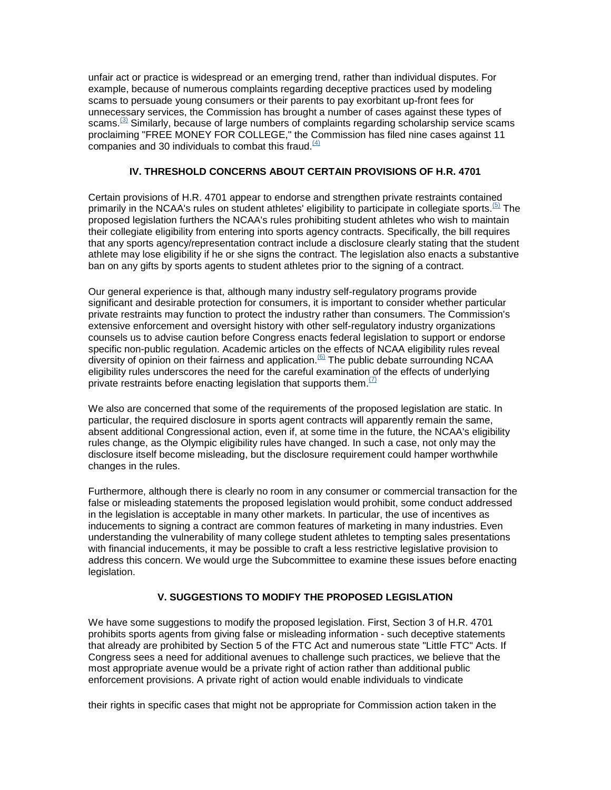unfair act or practice is widespread or an emerging trend, rather than individual disputes. For example, because of numerous complaints regarding deceptive practices used by modeling scams to persuade young consumers or their parents to pay exorbitant up-front fees for unnecessary services, the Commission has brought a number of cases against these types of scams.<sup>(3)</sup> Similarly, because of large numbers of complaints regarding scholarship service scams proclaiming "FREE MONEY FOR COLLEGE," the Commission has filed nine cases against 11 companies and 30 individuals to combat this fraud. $\frac{(4)}{(4)}$ 

## **IV. THRESHOLD CONCERNS ABOUT CERTAIN PROVISIONS OF H.R. 4701**

Certain provisions of H.R. 4701 appear to endorse and strengthen private restraints contained primarily in the NCAA's rules on student athletes' eligibility to participate in collegiate sports.<sup>(5)</sup> The proposed legislation furthers the NCAA's rules prohibiting student athletes who wish to maintain their collegiate eligibility from entering into sports agency contracts. Specifically, the bill requires that any sports agency/representation contract include a disclosure clearly stating that the student athlete may lose eligibility if he or she signs the contract. The legislation also enacts a substantive ban on any gifts by sports agents to student athletes prior to the signing of a contract.

Our general experience is that, although many industry self-regulatory programs provide significant and desirable protection for consumers, it is important to consider whether particular private restraints may function to protect the industry rather than consumers. The Commission's extensive enforcement and oversight history with other self-regulatory industry organizations counsels us to advise caution before Congress enacts federal legislation to support or endorse specific non-public regulation. Academic articles on the effects of NCAA eligibility rules reveal diversity of opinion on their fairness and application.<sup>(6)</sup> The public debate surrounding NCAA eligibility rules underscores the need for the careful examination of the effects of underlying private restraints before enacting legislation that supports them.  $\frac{1}{2}$ 

We also are concerned that some of the requirements of the proposed legislation are static. In particular, the required disclosure in sports agent contracts will apparently remain the same, absent additional Congressional action, even if, at some time in the future, the NCAA's eligibility rules change, as the Olympic eligibility rules have changed. In such a case, not only may the disclosure itself become misleading, but the disclosure requirement could hamper worthwhile changes in the rules.

Furthermore, although there is clearly no room in any consumer or commercial transaction for the false or misleading statements the proposed legislation would prohibit, some conduct addressed in the legislation is acceptable in many other markets. In particular, the use of incentives as inducements to signing a contract are common features of marketing in many industries. Even understanding the vulnerability of many college student athletes to tempting sales presentations with financial inducements, it may be possible to craft a less restrictive legislative provision to address this concern. We would urge the Subcommittee to examine these issues before enacting legislation.

## **V. SUGGESTIONS TO MODIFY THE PROPOSED LEGISLATION**

We have some suggestions to modify the proposed legislation. First, Section 3 of H.R. 4701 prohibits sports agents from giving false or misleading information - such deceptive statements that already are prohibited by Section 5 of the FTC Act and numerous state "Little FTC" Acts. If Congress sees a need for additional avenues to challenge such practices, we believe that the most appropriate avenue would be a private right of action rather than additional public enforcement provisions. A private right of action would enable individuals to vindicate

their rights in specific cases that might not be appropriate for Commission action taken in the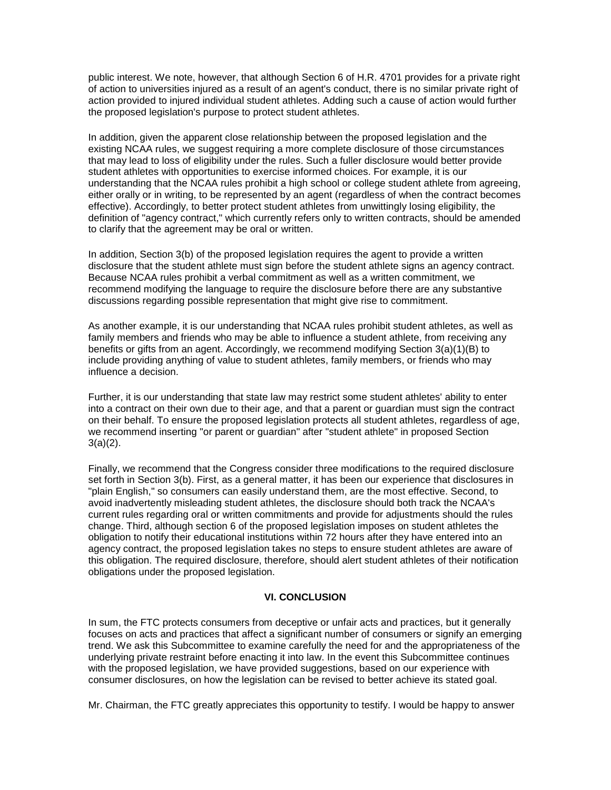public interest. We note, however, that although Section 6 of H.R. 4701 provides for a private right of action to universities injured as a result of an agent's conduct, there is no similar private right of action provided to injured individual student athletes. Adding such a cause of action would further the proposed legislation's purpose to protect student athletes.

In addition, given the apparent close relationship between the proposed legislation and the existing NCAA rules, we suggest requiring a more complete disclosure of those circumstances that may lead to loss of eligibility under the rules. Such a fuller disclosure would better provide student athletes with opportunities to exercise informed choices. For example, it is our understanding that the NCAA rules prohibit a high school or college student athlete from agreeing, either orally or in writing, to be represented by an agent (regardless of when the contract becomes effective). Accordingly, to better protect student athletes from unwittingly losing eligibility, the definition of "agency contract," which currently refers only to written contracts, should be amended to clarify that the agreement may be oral or written.

In addition, Section 3(b) of the proposed legislation requires the agent to provide a written disclosure that the student athlete must sign before the student athlete signs an agency contract. Because NCAA rules prohibit a verbal commitment as well as a written commitment, we recommend modifying the language to require the disclosure before there are any substantive discussions regarding possible representation that might give rise to commitment.

As another example, it is our understanding that NCAA rules prohibit student athletes, as well as family members and friends who may be able to influence a student athlete, from receiving any benefits or gifts from an agent. Accordingly, we recommend modifying Section 3(a)(1)(B) to include providing anything of value to student athletes, family members, or friends who may influence a decision.

Further, it is our understanding that state law may restrict some student athletes' ability to enter into a contract on their own due to their age, and that a parent or guardian must sign the contract on their behalf. To ensure the proposed legislation protects all student athletes, regardless of age, we recommend inserting "or parent or guardian" after "student athlete" in proposed Section 3(a)(2).

Finally, we recommend that the Congress consider three modifications to the required disclosure set forth in Section 3(b). First, as a general matter, it has been our experience that disclosures in "plain English," so consumers can easily understand them, are the most effective. Second, to avoid inadvertently misleading student athletes, the disclosure should both track the NCAA's current rules regarding oral or written commitments and provide for adjustments should the rules change. Third, although section 6 of the proposed legislation imposes on student athletes the obligation to notify their educational institutions within 72 hours after they have entered into an agency contract, the proposed legislation takes no steps to ensure student athletes are aware of this obligation. The required disclosure, therefore, should alert student athletes of their notification obligations under the proposed legislation.

#### **VI. CONCLUSION**

In sum, the FTC protects consumers from deceptive or unfair acts and practices, but it generally focuses on acts and practices that affect a significant number of consumers or signify an emerging trend. We ask this Subcommittee to examine carefully the need for and the appropriateness of the underlying private restraint before enacting it into law. In the event this Subcommittee continues with the proposed legislation, we have provided suggestions, based on our experience with consumer disclosures, on how the legislation can be revised to better achieve its stated goal.

Mr. Chairman, the FTC greatly appreciates this opportunity to testify. I would be happy to answer